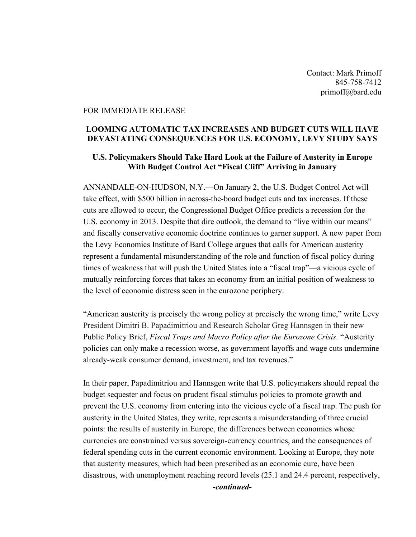Contact: Mark Primoff 845-758-7412 primoff@bard.edu

## FOR IMMEDIATE RELEASE

## **LOOMING AUTOMATIC TAX INCREASES AND BUDGET CUTS WILL HAVE DEVASTATING CONSEQUENCES FOR U.S. ECONOMY, LEVY STUDY SAYS**

## **U.S. Policymakers Should Take Hard Look at the Failure of Austerity in Europe With Budget Control Act "Fiscal Cliff" Arriving in January**

ANNANDALE-ON-HUDSON, N.Y.—On January 2, the U.S. Budget Control Act will take effect, with \$500 billion in across-the-board budget cuts and tax increases. If these cuts are allowed to occur, the Congressional Budget Office predicts a recession for the U.S. economy in 2013. Despite that dire outlook, the demand to "live within our means" and fiscally conservative economic doctrine continues to garner support. A new paper from the Levy Economics Institute of Bard College argues that calls for American austerity represent a fundamental misunderstanding of the role and function of fiscal policy during times of weakness that will push the United States into a "fiscal trap"—a vicious cycle of mutually reinforcing forces that takes an economy from an initial position of weakness to the level of economic distress seen in the eurozone periphery.

"American austerity is precisely the wrong policy at precisely the wrong time," write Levy President Dimitri B. Papadimitriou and Research Scholar Greg Hannsgen in their new Public Policy Brief, *Fiscal Traps and Macro Policy after the Eurozone Crisis.* "Austerity policies can only make a recession worse, as government layoffs and wage cuts undermine already-weak consumer demand, investment, and tax revenues."

In their paper, Papadimitriou and Hannsgen write that U.S. policymakers should repeal the budget sequester and focus on prudent fiscal stimulus policies to promote growth and prevent the U.S. economy from entering into the vicious cycle of a fiscal trap. The push for austerity in the United States, they write, represents a misunderstanding of three crucial points: the results of austerity in Europe, the differences between economies whose currencies are constrained versus sovereign-currency countries, and the consequences of federal spending cuts in the current economic environment. Looking at Europe, they note that austerity measures, which had been prescribed as an economic cure, have been disastrous, with unemployment reaching record levels (25.1 and 24.4 percent, respectively,

*-continued-*